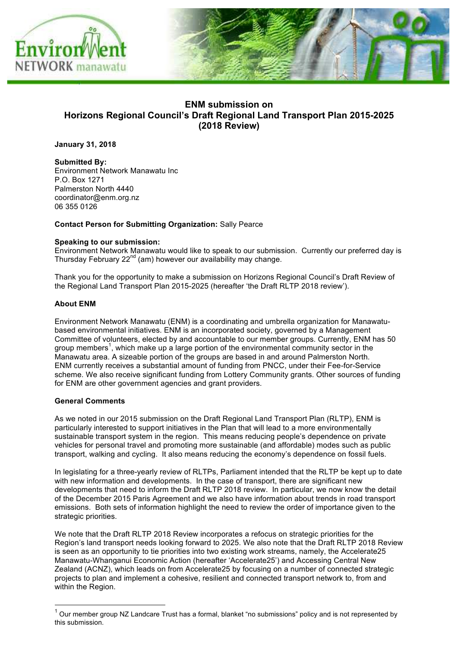

# **ENM submission on Horizons Regional Council's Draft Regional Land Transport Plan 2015-2025 (2018 Review)**

**January 31, 2018**

**Submitted By:**  Environment Network Manawatu Inc P.O. Box 1271 Palmerston North 4440 coordinator@enm.org.nz 06 355 0126

### **Contact Person for Submitting Organization:** Sally Pearce

#### **Speaking to our submission:**

Environment Network Manawatu would like to speak to our submission. Currently our preferred day is Thursday February 22nd (am) however our availability may change.

Thank you for the opportunity to make a submission on Horizons Regional Council's Draft Review of the Regional Land Transport Plan 2015-2025 (hereafter 'the Draft RLTP 2018 review').

#### **About ENM**

Environment Network Manawatu (ENM) is a coordinating and umbrella organization for Manawatubased environmental initiatives. ENM is an incorporated society, governed by a Management Committee of volunteers, elected by and accountable to our member groups. Currently, ENM has 50 group members<sup>1</sup>, which make up a large portion of the environmental community sector in the Manawatu area. A sizeable portion of the groups are based in and around Palmerston North. ENM currently receives a substantial amount of funding from PNCC, under their Fee-for-Service scheme. We also receive significant funding from Lottery Community grants. Other sources of funding for ENM are other government agencies and grant providers.

#### **General Comments**

As we noted in our 2015 submission on the Draft Regional Land Transport Plan (RLTP), ENM is particularly interested to support initiatives in the Plan that will lead to a more environmentally sustainable transport system in the region. This means reducing people's dependence on private vehicles for personal travel and promoting more sustainable (and affordable) modes such as public transport, walking and cycling. It also means reducing the economy's dependence on fossil fuels.

In legislating for a three-yearly review of RLTPs, Parliament intended that the RLTP be kept up to date with new information and developments. In the case of transport, there are significant new developments that need to inform the Draft RLTP 2018 review. In particular, we now know the detail of the December 2015 Paris Agreement and we also have information about trends in road transport emissions. Both sets of information highlight the need to review the order of importance given to the strategic priorities.

We note that the Draft RLTP 2018 Review incorporates a refocus on strategic priorities for the Region's land transport needs looking forward to 2025. We also note that the Draft RLTP 2018 Review is seen as an opportunity to tie priorities into two existing work streams, namely, the Accelerate25 Manawatu-Whanganui Economic Action (hereafter 'Accelerate25') and Accessing Central New Zealand (ACNZ), which leads on from Accelerate25 by focusing on a number of connected strategic projects to plan and implement a cohesive, resilient and connected transport network to, from and within the Region.

 $1$  Our member group NZ Landcare Trust has a formal, blanket "no submissions" policy and is not represented by this submission.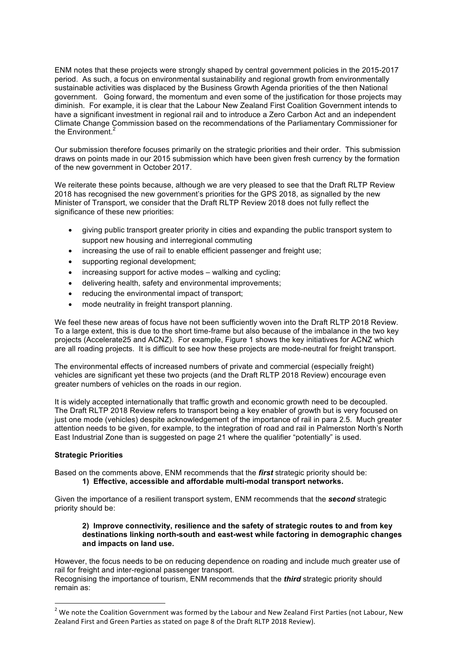ENM notes that these projects were strongly shaped by central government policies in the 2015-2017 period. As such, a focus on environmental sustainability and regional growth from environmentally sustainable activities was displaced by the Business Growth Agenda priorities of the then National government. Going forward, the momentum and even some of the justification for those projects may diminish. For example, it is clear that the Labour New Zealand First Coalition Government intends to have a significant investment in regional rail and to introduce a Zero Carbon Act and an independent Climate Change Commission based on the recommendations of the Parliamentary Commissioner for the Environment. $2$ 

Our submission therefore focuses primarily on the strategic priorities and their order. This submission draws on points made in our 2015 submission which have been given fresh currency by the formation of the new government in October 2017.

We reiterate these points because, although we are very pleased to see that the Draft RLTP Review 2018 has recognised the new government's priorities for the GPS 2018, as signalled by the new Minister of Transport, we consider that the Draft RLTP Review 2018 does not fully reflect the significance of these new priorities:

- giving public transport greater priority in cities and expanding the public transport system to support new housing and interregional commuting
- increasing the use of rail to enable efficient passenger and freight use;
- supporting regional development;
- increasing support for active modes walking and cycling;
- delivering health, safety and environmental improvements;
- reducing the environmental impact of transport;
- mode neutrality in freight transport planning.

We feel these new areas of focus have not been sufficiently woven into the Draft RLTP 2018 Review. To a large extent, this is due to the short time-frame but also because of the imbalance in the two key projects (Accelerate25 and ACNZ). For example, Figure 1 shows the key initiatives for ACNZ which are all roading projects. It is difficult to see how these projects are mode-neutral for freight transport.

The environmental effects of increased numbers of private and commercial (especially freight) vehicles are significant yet these two projects (and the Draft RLTP 2018 Review) encourage even greater numbers of vehicles on the roads in our region.

It is widely accepted internationally that traffic growth and economic growth need to be decoupled. The Draft RLTP 2018 Review refers to transport being a key enabler of growth but is very focused on just one mode (vehicles) despite acknowledgement of the importance of rail in para 2.5. Much greater attention needs to be given, for example, to the integration of road and rail in Palmerston North's North East Industrial Zone than is suggested on page 21 where the qualifier "potentially" is used.

#### **Strategic Priorities**

Based on the comments above, ENM recommends that the *first* strategic priority should be: **1) Effective, accessible and affordable multi-modal transport networks.**

Given the importance of a resilient transport system, ENM recommends that the *second* strategic priority should be:

#### **2) Improve connectivity, resilience and the safety of strategic routes to and from key destinations linking north-south and east-west while factoring in demographic changes and impacts on land use.**

However, the focus needs to be on reducing dependence on roading and include much greater use of rail for freight and inter-regional passenger transport.

Recognising the importance of tourism, ENM recommends that the *third* strategic priority should remain as:

 $2$  We note the Coalition Government was formed by the Labour and New Zealand First Parties (not Labour, New Zealand First and Green Parties as stated on page 8 of the Draft RLTP 2018 Review).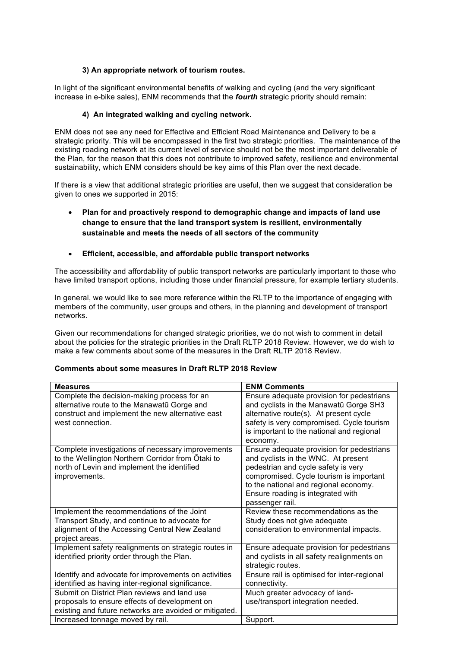### **3) An appropriate network of tourism routes.**

In light of the significant environmental benefits of walking and cycling (and the very significant increase in e-bike sales), ENM recommends that the *fourth* strategic priority should remain:

# **4) An integrated walking and cycling network.**

ENM does not see any need for Effective and Efficient Road Maintenance and Delivery to be a strategic priority. This will be encompassed in the first two strategic priorities. The maintenance of the existing roading network at its current level of service should not be the most important deliverable of the Plan, for the reason that this does not contribute to improved safety, resilience and environmental sustainability, which ENM considers should be key aims of this Plan over the next decade.

If there is a view that additional strategic priorities are useful, then we suggest that consideration be given to ones we supported in 2015:

# • **Plan for and proactively respond to demographic change and impacts of land use change to ensure that the land transport system is resilient, environmentally sustainable and meets the needs of all sectors of the community**

### • **Efficient, accessible, and affordable public transport networks**

The accessibility and affordability of public transport networks are particularly important to those who have limited transport options, including those under financial pressure, for example tertiary students.

In general, we would like to see more reference within the RLTP to the importance of engaging with members of the community, user groups and others, in the planning and development of transport networks.

Given our recommendations for changed strategic priorities, we do not wish to comment in detail about the policies for the strategic priorities in the Draft RLTP 2018 Review. However, we do wish to make a few comments about some of the measures in the Draft RLTP 2018 Review.

### **Comments about some measures in Draft RLTP 2018 Review**

| <b>Measures</b>                                                                                                                                                        | <b>ENM Comments</b>                                                                                                                                                                                                                                                 |
|------------------------------------------------------------------------------------------------------------------------------------------------------------------------|---------------------------------------------------------------------------------------------------------------------------------------------------------------------------------------------------------------------------------------------------------------------|
| Complete the decision-making process for an<br>alternative route to the Manawatū Gorge and<br>construct and implement the new alternative east<br>west connection.     | Ensure adequate provision for pedestrians<br>and cyclists in the Manawatū Gorge SH3<br>alternative route(s). At present cycle<br>safety is very compromised. Cycle tourism<br>is important to the national and regional<br>economy.                                 |
| Complete investigations of necessary improvements<br>to the Wellington Northern Corridor from Ōtaki to<br>north of Levin and implement the identified<br>improvements. | Ensure adequate provision for pedestrians<br>and cyclists in the WNC. At present<br>pedestrian and cycle safety is very<br>compromised. Cycle tourism is important<br>to the national and regional economy.<br>Ensure roading is integrated with<br>passenger rail. |
| Implement the recommendations of the Joint<br>Transport Study, and continue to advocate for<br>alignment of the Accessing Central New Zealand<br>project areas.        | Review these recommendations as the<br>Study does not give adequate<br>consideration to environmental impacts.                                                                                                                                                      |
| Implement safety realignments on strategic routes in<br>identified priority order through the Plan.                                                                    | Ensure adequate provision for pedestrians<br>and cyclists in all safety realignments on<br>strategic routes.                                                                                                                                                        |
| Identify and advocate for improvements on activities<br>identified as having inter-regional significance.                                                              | Ensure rail is optimised for inter-regional<br>connectivity.                                                                                                                                                                                                        |
| Submit on District Plan reviews and land use<br>proposals to ensure effects of development on<br>existing and future networks are avoided or mitigated.                | Much greater advocacy of land-<br>use/transport integration needed.                                                                                                                                                                                                 |
| Increased tonnage moved by rail.                                                                                                                                       | Support.                                                                                                                                                                                                                                                            |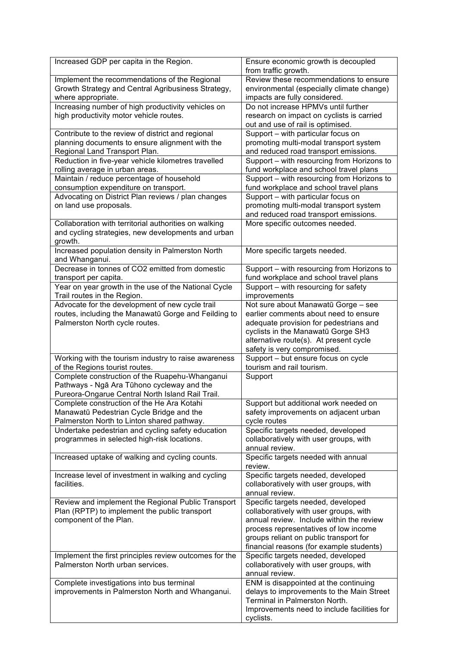| Increased GDP per capita in the Region.                                       | Ensure economic growth is decoupled                                            |
|-------------------------------------------------------------------------------|--------------------------------------------------------------------------------|
|                                                                               | from traffic growth.                                                           |
| Implement the recommendations of the Regional                                 | Review these recommendations to ensure                                         |
| Growth Strategy and Central Agribusiness Strategy,                            | environmental (especially climate change)                                      |
| where appropriate.                                                            | impacts are fully considered.                                                  |
| Increasing number of high productivity vehicles on                            | Do not increase HPMVs until further                                            |
| high productivity motor vehicle routes.                                       | research on impact on cyclists is carried                                      |
|                                                                               | out and use of rail is optimised.                                              |
| Contribute to the review of district and regional                             | Support - with particular focus on                                             |
| planning documents to ensure alignment with the                               | promoting multi-modal transport system                                         |
| Regional Land Transport Plan.                                                 | and reduced road transport emissions.                                          |
| Reduction in five-year vehicle kilometres travelled                           | Support - with resourcing from Horizons to                                     |
| rolling average in urban areas.                                               | fund workplace and school travel plans                                         |
| Maintain / reduce percentage of household                                     | Support - with resourcing from Horizons to                                     |
| consumption expenditure on transport.                                         | fund workplace and school travel plans                                         |
| Advocating on District Plan reviews / plan changes                            | Support - with particular focus on                                             |
| on land use proposals.                                                        | promoting multi-modal transport system                                         |
|                                                                               | and reduced road transport emissions.                                          |
| Collaboration with territorial authorities on walking                         | More specific outcomes needed.                                                 |
| and cycling strategies, new developments and urban                            |                                                                                |
| growth.                                                                       |                                                                                |
| Increased population density in Palmerston North                              | More specific targets needed.                                                  |
| and Whanganui.<br>Decrease in tonnes of CO2 emitted from domestic             |                                                                                |
|                                                                               | Support - with resourcing from Horizons to                                     |
| transport per capita.<br>Year on year growth in the use of the National Cycle | fund workplace and school travel plans<br>Support - with resourcing for safety |
| Trail routes in the Region.                                                   | improvements                                                                   |
| Advocate for the development of new cycle trail                               | Not sure about Manawatū Gorge - see                                            |
| routes, including the Manawatū Gorge and Feilding to                          | earlier comments about need to ensure                                          |
| Palmerston North cycle routes.                                                | adequate provision for pedestrians and                                         |
|                                                                               | cyclists in the Manawatū Gorge SH3                                             |
|                                                                               | alternative route(s). At present cycle                                         |
|                                                                               | safety is very compromised.                                                    |
| Working with the tourism industry to raise awareness                          | Support - but ensure focus on cycle                                            |
| of the Regions tourist routes.                                                | tourism and rail tourism.                                                      |
|                                                                               |                                                                                |
|                                                                               |                                                                                |
| Complete construction of the Ruapehu-Whanganui                                | Support                                                                        |
| Pathways - Ngā Ara Tūhono cycleway and the                                    |                                                                                |
| Pureora-Ongarue Central North Island Rail Trail.                              |                                                                                |
| Complete construction of the He Ara Kotahi                                    | Support but additional work needed on                                          |
| Manawatū Pedestrian Cycle Bridge and the                                      | safety improvements on adjacent urban                                          |
| Palmerston North to Linton shared pathway.                                    | cycle routes                                                                   |
| Undertake pedestrian and cycling safety education                             | Specific targets needed, developed<br>collaboratively with user groups, with   |
| programmes in selected high-risk locations.                                   | annual review.                                                                 |
| Increased uptake of walking and cycling counts.                               | Specific targets needed with annual                                            |
|                                                                               | review.                                                                        |
| Increase level of investment in walking and cycling                           | Specific targets needed, developed                                             |
| facilities.                                                                   | collaboratively with user groups, with                                         |
|                                                                               | annual review.                                                                 |
| Review and implement the Regional Public Transport                            | Specific targets needed, developed                                             |
| Plan (RPTP) to implement the public transport                                 | collaboratively with user groups, with                                         |
| component of the Plan.                                                        | annual review. Include within the review                                       |
|                                                                               | process representatives of low income                                          |
|                                                                               | groups reliant on public transport for                                         |
|                                                                               | financial reasons (for example students)                                       |
| Implement the first principles review outcomes for the                        | Specific targets needed, developed                                             |
| Palmerston North urban services.                                              | collaboratively with user groups, with                                         |
|                                                                               | annual review.                                                                 |
| Complete investigations into bus terminal                                     | ENM is disappointed at the continuing                                          |
| improvements in Palmerston North and Whanganui.                               | delays to improvements to the Main Street                                      |
|                                                                               | Terminal in Palmerston North.                                                  |
|                                                                               | Improvements need to include facilities for<br>cyclists.                       |